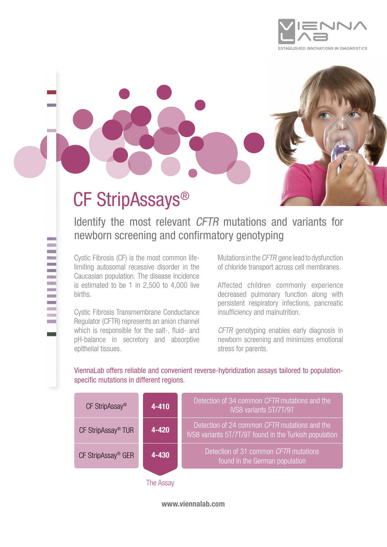



# CF StripAssays®

Identify the most relevant CFTR mutations and variants for newborn screening and confirmatory genotyping

Cystic Fibrosis (CF) is the most common lifelimiting autosomal recessive disorder in the Caucasian population. The disease incidence is estimated to be 1 in 2,500 to 4,000 live births.

Cystic Fibrosis Transmembrane Conductance Regulator (CFTR) represents an anion channel which is responsible for the salt-, fluid- and pH-balance in secretory and absorptive epithelial tissues.

Mutations in the CFTR gene lead to dysfunction of chloride transport across cell membranes.

Affected children commonly experience decreased pulmonary function along with persistent respiratory infections, pancreatic insufficiency and malnutrition.

CFTR genotyping enables early diagnosis in newborn screening and minimizes emotional stress for parents.

ViennaLab offers reliable and convenient reverse-hybridization assays tailored to populationspecific mutations in different regions.

| CF StripAssay <sup>®</sup>     | $4 - 410$ | Detection of 34 common CFTR mutations and the<br>IVS8 variants 5T/7T/9T                                 |
|--------------------------------|-----------|---------------------------------------------------------------------------------------------------------|
| CF StripAssay <sup>®</sup> TUR | $4 - 420$ | Detection of 24 common CFTR mutations and the<br>IVS8 variants 5T/7T/9T found in the Turkish population |
| CF StripAssay <sup>®</sup> GER | 4-430     | Detection of 31 common CFTR mutations<br>found in the German population                                 |
|                                | The Assav |                                                                                                         |

www.viennalab.com